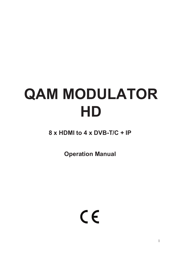# **QAM MODULATOR HD**

**8 x HDMI to 4 x DVB-T/C + IP**

**Operation Manual**

 $C \in$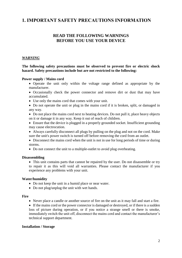# **1. IMPORTANT SAFETY PRECAUTIONS INFORMATION**

## **READ THE FOLLOWING WARNINGS BEFORE YOU USE YOUR DEVICE**

#### *WARNING*

**The following safety precautions must be observed to prevent fire or electric shock hazard. Safety precautions include but are not restricted to the following:** 

#### **Power supply / Mains cord**

- Operate the unit only within the voltage range defined as appropriate by the manufacturer.
- Occasionally check the power connector and remove dirt or dust that may have accumulated.
- Use only the mains cord that comes with your unit.
- Do not operate the unit or plug in the mains cord if it is broken, split, or damaged in any way.
- Do not place the mains cord next to heating devices. Do not pull it, place heavy objects on it or damage it in any way. Keep it out of reach of children.
- Ensure that the device is plugged in a properly grounded socket. Insufficient grounding may cause electrocution.
- Always carefully disconnect all plugs by pulling on the plug and not on the cord. Make sure the unit's power switch is turned off before removing the cord from an outlet.
- Disconnect the mains cord when the unit is not in use for long periods of time or during storms.
- Do not connect the unit to a multiple-outlet to avoid plug overheating.

#### **Disassembling**

• This unit contains parts that cannot be repaired by the user. Do not disassemble or try to repair it as this will void all warranties. Please contact the manufacturer if you experience any problems with your unit.

#### **Water/humidity**

- Do not keep the unit in a humid place or near water.
- Do not plug/unplug the unit with wet hands.

#### **Fire**

- Never place a candle or another source of fire on the unit as it may fall and start a fire.
- If the mains cord or the power connector is damaged or destroyed, or if there is a sudden loss of picture during operation, or if you notice a strange smell or there is smoke, immediately switch the unit off, disconnect the mains cord and contact the manufacturer's technical support department.

#### **Installation / Storage**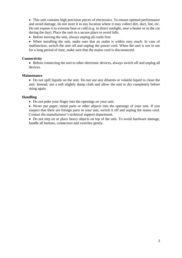This unit contains high precision pieces of electronics. To ensure optimal performance and avoid damage, do not store it in any location where it may collect dirt, duct, lint, etc. Do not expose it to extreme heat or cold (e.g. in direct sunlight, near a heater or in the car during the day). Place the unit in a secure place to avoid falls.

Before moving the unit, always unplug all cords first.

 When installing the unit, make sure that an outlet is within easy reach. In case of malfunction, switch the unit off and unplug the power cord. When the unit is not in use for a long period of time, make sure that the mains cord is disconnected.

#### **Connectivity**

• Before connecting the unit to other electronic devices, always switch off and unplug all devices.

#### **Maintenance**

• Do not spill liquids on the unit. Do not use any diluents or volatile liquid to clean the unit. Instead, use a soft slightly damp cloth and allow the unit to dry completely before using again.

#### **Handling**

Do not poke your finger into the openings on your unit.

• Never put paper, metal parts or other objects into the openings of your unit. If you suspect that there are foreign parts in your unit, switch it off and unplug the mains cord. Contact the manufacturer's technical support department.

• Do not step on or place heavy objects on top of the unit. To avoid hardware damage, handle all buttons, connectors and switches gently.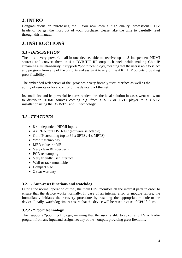# **2. INTRO**

Congratulations on purchasing the . You now own a high quality, professional DTV headend. To get the most out of your purchase, please take the time to carefully read through this manual.

# **3. INSTRUCTIONS**

## *3.1 - DESCRIPTION*

The is a very powerful, all-in-one device, able to receive up to 8 independent HDMI sources and convert them in 4 x DVB-T/C RF output channels while making Gbit IP streaming **simultaneously**. Itsupports "pool" technology, meaning that the user is able to select any program from any of the 8 inputs and assign it to any of the  $4 \text{RF} + \text{IP}$  outputs providing great flexibility.

The embedded web server of the provides a very friendly user interface as well as the ability of remote or local control of the device via Ethernet.

Its small size and its powerful features renders the the ideal solution in cases went we want to distribute HDMI sources coming e.g. from a STB or DVD player to a CATV installation using the DVB-T/C and IP technology.

# *3.2 - FEATURES*

- 8 x independent HDMI inputs
- 4 x RF output DVB-T/C (software selectable)
- Gbit IP streaming (up to 64 x SPTS / 4 x MPTS)
- "Pool" technology
- MER value  $>$  40dB
- Very clean RF spectrum
- PCR re-stamping
- Very friendly user interface
- Wall or rack mountable
- Compact size
- 2 year warranty

## **3.2.1 - Auto-reset functions and watchdog**

During the normal operation of the , the main CPU monitors all the internal parts in order to ensure that the device works normally. In case of an internal error or module failure, the immediately initiates the recovery procedure by resetting the appropriate module or the device. Finally, watchdog timers ensure that the device will be reset in case of CPU failure.

## **3.2.2 - "Pool" technology**

The supports "pool" technology, meaning that the user is able to select any TV or Radio program from any input and assign it to any of the 4 outputs providing great flexibility.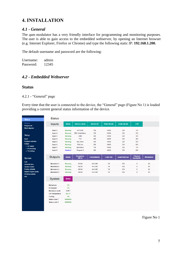# **4. INSTALLATION**

## *4.1 - General*

The qam modulator has a very friendly interface for programming and monitoring purposes. The user is able to gain access to the embedded webserver, by opening an Internet browser (e.g. Internet Explorer, Firefox or Chrome) and type the following static IP: **192.168.1.200.**

The default username and password are the following:

Username: admin Password: 12345

## *4.2 - Embedded Webserver*

## **Status**

4.2.1 - "General" page

Every time that the user is connected to the device, the "General" page (Figure No 1) is loaded providing a current general status information of the device.

| <b>Status</b>                                     | <b>Status</b>          |                 |                           |                      |                      |                       |                             |                   |  |
|---------------------------------------------------|------------------------|-----------------|---------------------------|----------------------|----------------------|-----------------------|-----------------------------|-------------------|--|
| General<br><b>Program list</b>                    | <b>Inputs</b>          | <b>Status</b>   | <b>Service name</b>       | <b>Service ID</b>    | <b>Video bitrate</b> | <b>Audio bitrate</b>  | <b>LCN</b>                  |                   |  |
| <b>Block diagram</b>                              | Input 1                | Running         | ARTE HD                   | 100                  | 14000                | 320                   | 101                         |                   |  |
|                                                   | Input 2                | Running         | <b>BBC World News</b>     | 200                  | 12000                | 320                   | 201                         |                   |  |
| Setup                                             | Input 3                | <b>Running</b>  | <b>CNNi</b>               | 300                  | 13500                | 320                   | 301                         |                   |  |
| Input                                             | Input 4                | <b>Running</b>  | TV <sub>5</sub>           | 400                  | 14000                | 320                   | 401                         |                   |  |
| <b>Program selection</b>                          | Input 5                | Running         | <b>Sky News</b>           | 500                  | 14000                | 320                   | 501                         |                   |  |
| Output                                            | Input 6                | Running         | RAI Uno                   | 600                  | 14000                | 320                   | 601                         |                   |  |
| > RF output                                       | Input 7                | Running         | <b>EuroNews</b>           | 700                  | 14000                | 320                   | 701                         |                   |  |
| $>$ IP streaming<br>> TS settings                 | Input 8                | <b>Disabled</b> | Program 8                 | 800                  | 14000                | 320                   | 801                         |                   |  |
| <b>System</b>                                     | <b>Outputs</b>         | <b>Status</b>   | <b>Frequency</b><br>(MHz) | <b>Constellation</b> | Code rate            | <b>Guard interval</b> | <b>Channel</b><br>bandwidth | <b>Modulation</b> |  |
| LAN<br><b>Administration</b>                      | <b>Modulator 1</b>     | Running         | 474.00                    | 64-QAM               | 7/8                  | 1/32                  | 8                           | <b>8K</b>         |  |
| <b>System restart</b>                             | <b>Modulator 2</b>     | Running         | 482.00                    | 64-QAM               | 7/8                  | 1/32                  | 8                           | 8K                |  |
| <b>Factory defaults</b>                           | <b>Modulator 3</b>     | <b>Running</b>  | 490.00                    | 64-QAM               | 7/8                  | 1/32                  | 8                           | 8K                |  |
| Import / Export config.<br><b>Firmware update</b> | <b>Modulator 4</b>     | <b>Running</b>  | 498.00                    | 64-QAM               | 7/8                  | 1/32                  | 8                           | <b>8K</b>         |  |
| Info                                              | <b>System</b>          | <b>Status</b>   |                           |                      |                      |                       |                             |                   |  |
|                                                   | <b>Multiplexer</b>     | OK              |                           |                      |                      |                       |                             |                   |  |
|                                                   | <b>IP</b> streamer     | OK              |                           |                      |                      |                       |                             |                   |  |
|                                                   | <b>Modulator mode</b>  | DVB-T           |                           |                      |                      |                       |                             |                   |  |
|                                                   | <b>CPU</b> temperature | 32.5 °C         |                           |                      |                      |                       |                             |                   |  |
|                                                   | Cooling                | OK              |                           |                      |                      |                       |                             |                   |  |
|                                                   | Status code 1          | 00000000        |                           |                      |                      |                       |                             |                   |  |
|                                                   | <b>Status code 2</b>   | 00000000        |                           |                      |                      |                       |                             |                   |  |
|                                                   |                        |                 |                           |                      |                      |                       |                             |                   |  |

Figure No 1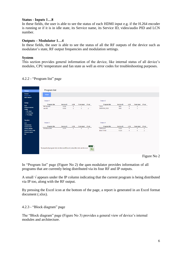#### **Status - Inputs 1…8**

In these fields, the user is able to see the status of each HDMI input e.g. if the H.264 encoder is running or if it is in idle state, its Service name, its Service ID, video/audio PID and LCN number.

## **Outputs – Modulator 1…4**

In these fields, the user is able to see the status of all the RF outputs of the device such as modulator's state, RF output frequencies and modulation settings.

## **System**

This section provides general information of the device, like internal status of all device's modules, CPU temperature and fan state as well as error codes for troubleshooting purposes.

| <b>Status</b><br>General<br>Program list<br><b>Block diagram</b>                                                                                        | <b>Program list</b><br>Output                                                                                                 |                              |                                         |                                              |                                                          |                                                               |                              |                                            |                                                                         |                                        |                  |
|---------------------------------------------------------------------------------------------------------------------------------------------------------|-------------------------------------------------------------------------------------------------------------------------------|------------------------------|-----------------------------------------|----------------------------------------------|----------------------------------------------------------|---------------------------------------------------------------|------------------------------|--------------------------------------------|-------------------------------------------------------------------------|----------------------------------------|------------------|
| Setup<br>Input<br>Program selection<br>Output<br>> RF output<br>> IP streaming<br>> TS settings                                                         | Output 1<br>Program title<br><b>BR Nord HD</b><br>arte HD                                                                     | Service ID<br>10326<br>10302 | <b>LCN</b><br>$\bullet$<br>$\mathbf{0}$ | From input<br>$\mathbf{1}$<br>$\overline{2}$ | IP out<br>$\checkmark$                                   | Output 2<br>Program title<br><b>TWOJ</b><br>SARAFAN_RUS       | Service ID<br>5601<br>5602   | <b>LCN</b><br>$\mathbf{0}$<br>$\mathbf{0}$ | From input IP out<br>$\overline{\mathbf{3}}$<br>$\overline{\mathbf{3}}$ |                                        |                  |
| System<br>LAN<br><b>Administration</b><br><b>System restart</b><br><b>Factory defaults</b><br>Import / Export config.<br><b>Firmware update</b><br>Info | Output 3<br>Program title<br>Einsfestival HD<br>To export all program lists to Microsoft Excel (.xlsx) file click on the icon | Service ID<br>10376          | LCN<br>$\mathbf{0}$                     | From input<br>5 <sub>1</sub>                 | IP out<br>$\sqrt{2}$<br>XLS<br>$\mathbf{\overline{X}}$ . | Output 4<br>Program title<br>Volksmusik<br><b>Bibel TV HD</b> | Service ID<br>13222<br>13224 | LCN<br>$\mathbf 0$<br>$\mathbf{0}$         | From input<br>6<br>6 <sup>1</sup>                                       | IP out<br>$\checkmark$<br>$\checkmark$ | $\Gamma$ cure Me |

4.2.2 - "Program list" page

In "Program list" page (Figure No 2) the qam modulator provides information of all programs that are currently being distributed via its four RF and IP outputs.

A small  $\sqrt{\ }$  appears under the IP column indicating that the current program is being distributed via IP too, along with the RF output.

By pressing the Excel icon at the bottom of the page, a report is generated in an Excel format document (.xlsx).

## 4.2.3 - "Block diagram" page

The "Block diagram" page (Figure No 3) provides a general view of device's internal modules and architecture.

Figure No 2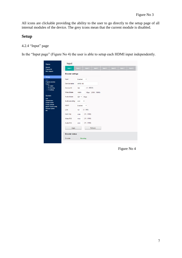All icons are clickable providing the ability to the user to go directly to the setup page of all internal modules of the device. The grey icons mean that the current module is disabled.

# **Setup**

## 4.2.4 "Input" page

In the "Input page" (Figure No 4) the user is able to setup each HDMI input independently.

| <b>Status</b>                                      | Input                   |                           |                    |                  |         |         |         |         |  |  |
|----------------------------------------------------|-------------------------|---------------------------|--------------------|------------------|---------|---------|---------|---------|--|--|
| <b>General</b><br>Program list                     | Input 1                 | Input 2                   | Input 3            | Input 4          | Input 5 | Input 6 | Input 7 | Input 8 |  |  |
| <b>Block diagram</b>                               | <b>Encoder settings</b> |                           |                    |                  |         |         |         |         |  |  |
| <b>Setup</b><br>Input                              | Input                   | Enabled                   | ۷                  |                  |         |         |         |         |  |  |
| <b>Program selection</b><br>Output                 | Service name            | <b>ARTE HD</b>            |                    |                  |         |         |         |         |  |  |
| > RF output<br>$>$ IP streaming<br>> TS settings   | Service ID              | 100                       | (165535)           |                  |         |         |         |         |  |  |
|                                                    | Video bitrate           | 14000                     |                    | Kbps (200019000) |         |         |         |         |  |  |
| <b>System</b><br>LAN                               | Audio bitrate           | $320 -$                   | <b>Kbps</b>        |                  |         |         |         |         |  |  |
| <b>Administration</b><br><b>System restart</b>     | Audio encoding          | AAC<br>$\pmb{\mathrm{v}}$ |                    |                  |         |         |         |         |  |  |
| <b>Factory defaults</b><br>Import / Export config. | <b>HDCP</b>             | Enabled                   | $\pmb{\mathrm{v}}$ |                  |         |         |         |         |  |  |
| Firmware update<br>Info                            | LCN                     | 101                       | (1999)             |                  |         |         |         |         |  |  |
|                                                    | PMT PID                 | 5100                      | (318100)           |                  |         |         |         |         |  |  |
|                                                    | Video PID               | 5102                      | (318100)           |                  |         |         |         |         |  |  |
|                                                    | Audio PID               | 5101                      | (318100)           |                  |         |         |         |         |  |  |
|                                                    | Apply                   |                           |                    | Refresh          |         |         |         |         |  |  |
|                                                    | <b>Encoder status</b>   |                           |                    |                  |         |         |         |         |  |  |
|                                                    | EncoderRunning          |                           |                    |                  |         |         |         |         |  |  |
|                                                    |                         |                           |                    |                  |         |         |         |         |  |  |

Figure No 4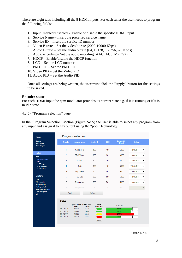There are eight tabs including all the 8 HDMI inputs. For each tuner the user needs to program the following fields:

- 1. Input Enabled/Disabled Enable or disable the specific HDMI input
- 2. Service Name Insert the preferred service name
- 3. Service ID Insert the service ID number
- 4. Video Bitrate Set the video bitrate (2000-19000 Kbps)
- 5. Audio Bitrate Set the audio bitrate (64,96,128,192,256,320 Kbps)
- 6. Audio encoding Set the audio encoding (AAC, AC3, MPEG2)
- 7. HDCP Enable/disable the HDCP function
- 8. LCN Set the LCN number
- 9. PMT PID Set the PMT PID
- 10. Video PID Set the Video PID
- 11. Audio PID Set the Audio PID

Once all settings are being written, the user must click the "Apply" button for the settings to be saved.

#### **Encoder status**

For each HDMI input the qam modulator provides its current state e.g. if it is running or if it is in idle state.

4.2.5 - "Program Selection" page

In the "Program Selection" section (Figure No 5) the user is able to select any program from any input and assign it to any output using the "pool" technology.

| <b>Status</b>                                                |                      | <b>Program selection</b>  |                                            |            |                            |          |                    |
|--------------------------------------------------------------|----------------------|---------------------------|--------------------------------------------|------------|----------------------------|----------|--------------------|
| <b>General</b><br><b>Program list</b>                        | <b>Encoder</b>       | <b>Service name</b>       | <b>Service ID</b>                          | <b>LCN</b> | <b>Bandwidth</b><br>(Kbps) | Output   |                    |
| <b>Block diagram</b>                                         | 1                    | <b>ARTE HD</b>            | 100                                        | 101        | 15000                      | TS OUT 1 | ۷.                 |
| <b>Setup</b><br>Input                                        | $\overline{2}$       | <b>BBC World</b>          | 200                                        | 201        | 13000                      | TS OUT 1 | $\pmb{\mathrm{v}}$ |
| Program selection<br>Output                                  | 3                    | <b>CNNi</b>               | 300                                        | 301        | 14500                      | TS OUT 2 | $\pmb{\mathrm{v}}$ |
| > RF output<br>> IP streaming                                | 4                    | TV <sub>5</sub>           | 400                                        | 401        | 15000                      | TS OUT 2 | $\pmb{\mathrm{v}}$ |
| > TS settings                                                | 5                    | <b>Sky News</b>           | 500                                        | 501        | 15000                      | TS OUT 3 | $\pmb{\mathrm{v}}$ |
| <b>System</b>                                                | 6                    | <b>RAI Uno</b>            | 600                                        | 601        | 15000                      | TS OUT 3 | $\pmb{\mathrm{v}}$ |
| <b>LAN</b><br><b>Administration</b><br><b>System restart</b> | $\overline{7}$       | Euronews                  | 700                                        | 701        | 15000                      | TS OUT 4 | 7                  |
| <b>Factory defaults</b><br>Import / Export config.           | 8                    | Program 8                 | 8                                          | 8          | 15000                      |          | v                  |
| Firmware update<br>Info                                      | Apply                |                           | Refresh                                    |            |                            |          |                    |
|                                                              | <b>Status</b>        |                           |                                            |            |                            |          |                    |
|                                                              |                      | -Bitrate (Kbps) -<br>Max. | Peak<br><b>Detection</b><br><b>Current</b> |            | Payload                    |          |                    |
|                                                              | TS OUT 1             | 31668                     | 31318                                      |            | 99%                        |          |                    |
|                                                              | TS OUT 2             | 31668                     | 29908                                      |            | 94%                        |          |                    |
|                                                              | TS OUT 3<br>TS OUT 4 | 31668<br>31668            | 33405<br>المتباين<br>17834                 |            | 105%<br>56%                |          |                    |
|                                                              |                      |                           | Reset                                      |            |                            |          |                    |
|                                                              |                      |                           |                                            |            |                            |          |                    |

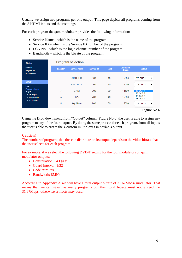Usually we assign two programs per one output. This page depicts all programs coming from the 8 HDMI inputs and their settings.

For each program the qam modulator provides the following information:

- Service Name which is the name of the program
- Service ID which is the Service ID number of the program
- LCN No which is the logic channel number of the program
- $\bullet$  Bandwidth which is the bitrate of the program

| <b>Status</b>                              |                | <b>Program selection</b> |                   |            |                            |                                                  |
|--------------------------------------------|----------------|--------------------------|-------------------|------------|----------------------------|--------------------------------------------------|
| General<br><b>Program list</b>             | <b>Encoder</b> | <b>Service name</b>      | <b>Service ID</b> | <b>LCN</b> | <b>Bandwidth</b><br>(Kbps) | <b>Output</b>                                    |
| <b>Block diagram</b>                       |                | ARTE HD                  | 100               | 101        | 15000                      | TS OUT 1                                         |
| Setup<br><b>Input</b>                      | $\overline{2}$ | <b>BBC World</b>         | 200               | 201        | 13000                      | <b>TS OUT 1</b>                                  |
| Program selection<br>Output<br>> RF output | 3              | <b>CNNi</b>              | 300               | 301        | 14500                      | $\overline{\phantom{a}}$<br>TS OUT 1<br>TS OUT 2 |
| $>$ IP streaming<br>> TS settings          | 4              | TV <sub>5</sub>          | 400               | 401        | 15000                      | TS OUT 3<br><b>TS OUT 4</b>                      |
|                                            | 5              | <b>Sky News</b>          | 500               | 501        | 15000                      | TS OUT 3<br>▼                                    |

Figure No 6

Using the Drop down menu from "Output" column (Figure No 6) the user is able to assign any program to any of the four outputs. By doing the same process for each program, from all inputs the user is able to create the 4 custom multiplexes in device's output.

#### **Caution!**

The number of programs that the can distribute on its output depends on the video bitrate that the user selects for each program.

For example, if we select the following DVB-T setting for the four modulators on qam modulator outputs:

- Constellation: 64 OAM
- Guard Interval: 1/32
- Code rate: 7/8
- Bandwidth: 8MHz

According to Appendix A we will have a total output bitrate of 31.67Mbps/ modulator. That means that we can select as many programs but their total bitrate must not exceed the 31.67Mbps, otherwise artifacts may occur.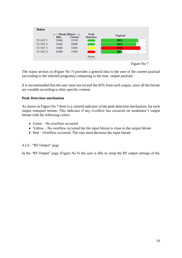

The status section in (Figure No 7) provides a general idea to the user of the current payload (according to the selected programs) comparing to the max. output payload.

It is recommended that the user must not exceed the 85% from each output, since all the bitrate are variable according to their specific content.

## **Peak Detection mechanism**

As shown in Figure No 7 there is a colored indicator of the peak detection mechanism, for each output transport stream. This indicates if any overflow has occurred on modulator's output bitrate with the following colors:

- Green No overflow occurred
- Yellow No overflow occurred but the input bitrate is close to the output bitrate
- Red Overflow occurred. The user must decrease the input bitrate

#### 4.2.6 - "RF Output" page

In the "RF Output" page (Figure No 8) the user is able to setup the RF output settings of the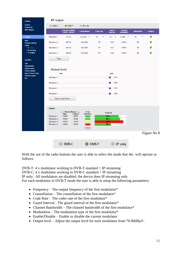| <b>Status</b>                                                                                                                          | <b>RF</b> output                                                          |                                                                                                                               |                                   |                           |                                                            |                             |                   |                |
|----------------------------------------------------------------------------------------------------------------------------------------|---------------------------------------------------------------------------|-------------------------------------------------------------------------------------------------------------------------------|-----------------------------------|---------------------------|------------------------------------------------------------|-----------------------------|-------------------|----------------|
| <b>General</b><br><b>Program list</b>                                                                                                  | <b>DVB-C</b>                                                              | O DVB-T                                                                                                                       | <b>IP</b> only                    |                           |                                                            |                             |                   |                |
| <b>Block diagram</b>                                                                                                                   |                                                                           | <b>Frequency (MHz)</b><br>118.00 - 900.00                                                                                     | <b>Constellation</b>              | Code rate                 | <b>Guard</b><br><b>interval</b>                            | <b>Channel</b><br>bandwidth | <b>Modulation</b> | <b>Enabled</b> |
| <b>Setup</b>                                                                                                                           | Modulator 1                                                               | 474.00                                                                                                                        | 64-QAM <b>v</b>                   | 7/8<br>$\pmb{\mathrm{v}}$ | $1/32$ $\times$                                            | 8 MHz v                     | 8K<br>7           | $\checkmark$   |
| <b>Input</b><br><b>Program selection</b>                                                                                               | <b>Modulator 2</b>                                                        | 482.00                                                                                                                        | 64-QAM                            | 7/8                       | 1/32                                                       | 8 MHz                       | 8K                | $\checkmark$   |
| Output<br>> RF output                                                                                                                  | Modulator 3                                                               | 490.00                                                                                                                        | 64-QAM                            | 7/8                       | 1/32                                                       | 8 MHz                       | 8K                | $\checkmark$   |
| > IP streaming<br>> TS settings                                                                                                        | Modulator 4                                                               | 498.00                                                                                                                        | 64-QAM                            | 7/8                       | 1/32                                                       | 8 MHz                       | 8K                | $\checkmark$   |
| <b>System</b>                                                                                                                          | Apply                                                                     |                                                                                                                               |                                   |                           |                                                            |                             |                   |                |
| LAN<br><b>Administration</b><br><b>System restart</b><br><b>Factory defaults</b><br>Import / Export config.<br>Firmware update<br>Info | <b>Output level</b><br>Modulator 1<br>Modulator 2<br>Modulator 3          | min                                                                                                                           |                                   |                           | max<br>$\blacksquare$ 95%<br>$\overline{2}$ 95%<br>$= 95%$ |                             |                   |                |
|                                                                                                                                        | Modulator 4                                                               | Apply output levels                                                                                                           |                                   |                           | $= 95%$                                                    |                             |                   |                |
|                                                                                                                                        | <b>Status</b><br>Modulator 1<br>Modulator 2<br>Modulator 3<br>Modulator 4 | $-$ Bitrate (Kbps) $-$<br>Н<br>Max.<br><b>Current</b><br>31668<br>28783<br>31668<br>30299<br>31668<br>34209<br>31668<br>19646 | Peak<br><b>Detection</b><br>Reset |                           | Payload<br>91%<br>96%<br>108%<br>62%                       |                             |                   |                |
|                                                                                                                                        |                                                                           |                                                                                                                               |                                   |                           |                                                            |                             |                   | Figure No 8    |
|                                                                                                                                        |                                                                           | <b>DVB-C</b>                                                                                                                  |                                   | <b>DVB-T</b>              |                                                            | IP only                     |                   |                |

With the use of the radio buttons the user is able to select the mode that the will operate as follows:

DVB-T: 4 x modulator working in DVB-T standard + IP streaming DVB-C: 4 x modulator working in DVB-C standard + IP streaming IP only: All modulators are disabled, the device does IP streaming only For each modulator in DVB-T mode the user is able to setup the following parameters:

- Frequency The output frequency of the first modulator $*$
- Constellation The constellation of the first modulator\*
- Code Rate The coder rate of the first modulator\*
- Guard Interval The guard interval of the first modulator\*
- Channel Bandwidth The channel bandwidth of the first modulator\*
- Modulation The modulation type of the first modulator\*
- Enable/Disable Enable or disable the current modulator
- Output level Adjust the output level for each modulator from  $70-90$ dB $\mu$ V.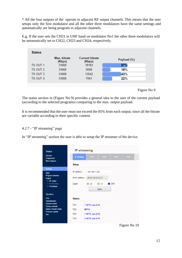\* All the four outputs of the operate in adjacent RF output channels. This means that the user setups only the first modulator and all the other three modulators have the same settings and automatically are being program in adjacent channels.

E.g. If the user sets the CH21 in UHF band on modulator No1 the other three modulators will be automatically set to CH22, CH23 and CH24, respectively.

| <b>Status</b>   |                        |                                  |             |
|-----------------|------------------------|----------------------------------|-------------|
|                 | Max. bitrate<br>(Kbps) | <b>Current bitrate</b><br>(Kbps) | Payload (%) |
| TS OUT 1        | 31668                  | 18183                            | 57%         |
| TS OUT 2        | 31668                  | 5608                             | 18%         |
| TS OUT 3        | 31668                  | 13542                            | 43%         |
| <b>TS OUT 4</b> | 31668                  | 7061                             | 22%         |



The status section in (Figure No 9) provides a general idea to the user of the current payload (according to the selected programs) comparing to the max. output payload.

It is recommended that the user must not exceed the 85% from each output, since all the bitrate are variable according to their specific content.

## 4.2.7 - "IP streaming" page

In "IP streaming" section the user is able to setup the IP streamer of the device.

| <b>Status</b>                                     | <b>IP</b> streaming |             |                   |                         |               |            |  |  |
|---------------------------------------------------|---------------------|-------------|-------------------|-------------------------|---------------|------------|--|--|
| <b>General</b><br>Program list                    | <b>IP settings</b>  |             | <b>TS1</b>        | <b>TS2</b>              | <b>TS3</b>    | <b>TS4</b> |  |  |
| <b>Block diagram</b>                              | <b>Setup</b>        |             |                   |                         |               |            |  |  |
| <b>Setup</b><br><b>Input</b>                      | <b>IP</b> address   |             | 192.168.1.220     |                         |               |            |  |  |
| <b>Program selection</b><br>Output<br>> RF output | MAC address         |             | d8:80:39:55:6d:3f |                         |               |            |  |  |
| $>$ IP streaming<br>> TS settings                 | <b>IGMP</b>         |             | v <sub>2</sub>    | v <sub>3</sub><br>Apply | $\bullet$ OFF |            |  |  |
| <b>System</b>                                     |                     |             |                   |                         |               |            |  |  |
| <b>LAN</b><br><b>Administration</b>               | <b>Status</b>       |             |                   |                         |               |            |  |  |
| <b>System restart</b><br><b>Factory defaults</b>  | TS <sub>1</sub>     |             | 1 SPTS out of 16  |                         |               |            |  |  |
| Import / Export config.<br>Firmware update        | TS <sub>2</sub>     | <b>MPTS</b> |                   |                         |               |            |  |  |
| <b>Info</b>                                       | TS <sub>3</sub>     |             | 1 SPTS out of 16  |                         |               |            |  |  |
|                                                   | TS <sub>4</sub>     |             | 2 SPTS out of 16  |                         |               |            |  |  |

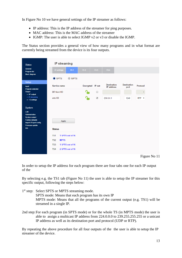In Figure No 10 we have general settings of the IP streamer as follows:

- IP address: This is the IP address of the streamer for ping purposes.
- MAC address: This is the MAC address of the streamer
- IGMP: The user is able to select IGMP v2 or v3 or disable the IGMP.

The Status section provides a general view of how many programs and in what format are currently being streamed from the device is its four outputs.

| <b>Status</b>                                                         | <b>IP streaming</b>            |                  |                  |                      |                                         |                            |                         |
|-----------------------------------------------------------------------|--------------------------------|------------------|------------------|----------------------|-----------------------------------------|----------------------------|-------------------------|
| <b>General</b><br><b>Program list</b><br><b>Block diagram</b>         | <b>IP settings</b>             | <b>TS1</b>       | <b>TS2</b>       | <b>TS3</b>           | <b>TS4</b>                              |                            |                         |
| <b>Setup</b>                                                          | ● SPTS                         | <b>MPTS</b>      |                  |                      |                                         |                            |                         |
| Input                                                                 | Service name                   |                  | Encrypted IP out |                      | <b>Destination</b><br><b>IP</b> address | <b>Destination</b><br>port | Protocol                |
| <b>Program selection</b><br>Output<br>> RF output                     | <b>BR Nord HD</b>              |                  |                  | $\Box$               |                                         |                            | $\overline{\mathbf{v}}$ |
| > IP streaming<br>> TS settings                                       | arte HD                        |                  |                  | $\blacktriangledown$ | 230.0.0.1                               | 1240                       | $RTP \rightarrow$       |
|                                                                       |                                |                  |                  |                      |                                         |                            |                         |
| <b>System</b><br>LAN                                                  |                                |                  |                  |                      |                                         |                            |                         |
| Administration<br><b>System restart</b>                               |                                |                  |                  |                      |                                         |                            |                         |
| <b>Factory defaults</b><br>Import / Export config.<br>Firmware update | Apply                          |                  |                  |                      |                                         |                            |                         |
| Info                                                                  | <b>Status</b>                  |                  |                  |                      |                                         |                            |                         |
|                                                                       | TS <sub>1</sub>                | 1 SPTS out of 16 |                  |                      |                                         |                            |                         |
|                                                                       | TS <sub>2</sub><br><b>MPTS</b> |                  |                  |                      |                                         |                            |                         |
|                                                                       | TS <sub>3</sub>                | 1 SPTS out of 16 |                  |                      |                                         |                            |                         |
|                                                                       | TS <sub>4</sub>                | 2 SPTS out of 16 |                  |                      |                                         |                            |                         |
|                                                                       |                                |                  |                  |                      |                                         |                            |                         |

In order to setup the IP address for each program there are four tabs one for each IP output of the

By selecting e.g. the TS1 tab (Figure No 11) the user is able to setup the IP streamer for this specific output, following the steps below:

- 1<sup>st</sup> step: Select SPTS or MPTS streaming mode. SPTS mode: Means that each program has its own IP MPTS mode: Means that all the programs of the current output (e.g. TS1) will be streamed in a single IP.
- 2nd step: For each program (in SPTS mode) or for the whole TS (in MPTS mode) the user is able to assign a multicast IP address from 224.0.0.0 to 239.255.255.255 or a unicast IP address as well as its destination port and protocol (UDP or RTP).

By repeating the above procedure for all four outputs of the the user is able to setup the IP streamer of the device.

Figure No 11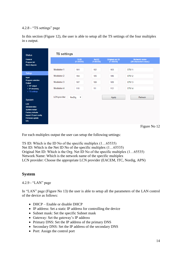## 4.2.8 - "TS settings" page

In this section (Figure 12), the user is able to setup all the TS settings of the four multiplex in s output.

| <b>Status</b>                                                         | <b>TS settings</b>  |                              |                                |                                         |                                             |
|-----------------------------------------------------------------------|---------------------|------------------------------|--------------------------------|-----------------------------------------|---------------------------------------------|
| <b>General</b><br><b>Program list</b>                                 |                     | <b>TSID</b><br>$(1 - 65535)$ | <b>Net ID</b><br>$(1 - 65535)$ | <b>Original net ID</b><br>$(1 - 65535)$ | <b>Network name</b><br>(20 characters max.) |
| <b>Block diagram</b>                                                  | Modulator 1         | 101                          | 102                            | 103                                     | DTV <sub>1</sub>                            |
| <b>Setup</b><br>Input                                                 | Modulator 2         | 104                          | 105                            | 106                                     | DTV <sub>2</sub>                            |
| <b>Program selection</b><br>Output                                    | Modulator 3         | 107                          | 108                            | 109                                     | DTV <sub>3</sub>                            |
| > RF output<br>$>$ IP streaming<br>> TS settings                      | Modulator 4         | 110                          | 111                            | 112                                     | DTV <sub>4</sub>                            |
| <b>System</b>                                                         | <b>LCN</b> provider | NorDig<br>$\pmb{\mathrm{v}}$ |                                | Apply                                   | Refresh                                     |
| LAN<br><b>Administration</b><br><b>System restart</b>                 |                     |                              |                                |                                         |                                             |
| <b>Factory defaults</b><br>Import / Export config.<br>Firmware update |                     |                              |                                |                                         |                                             |
| Info                                                                  |                     |                              |                                |                                         |                                             |

Figure No 12

For each multiplex output the user can setup the following settings:

TS ID: Which is the ID No of the specific multiplex (1…65535) Net ID: Which is the Net ID No of the specific multiplex (1…65535) Original Net ID: Which is the Org. Net ID No of the specific multiplex (1…65535) Network Name: Which is the network name of the specific multiplex LCN provider: Choose the appropriate LCN provider (EACEM, ITC, Nordig, APN)

## **System**

4.2.9 - "LAN" page

In "LAN" page (Figure No 13) the user is able to setup all the parameters of the LAN control of the device as follows:

- DHCP Enable or disable DHCP
- IP address: Set a static IP address for controlling the device
- Subnet mask: Set the specific Subnet mask
- Gateway: Set the gateway's IP address
- Primary DNS: Set the IP address of the primary DNS
- Secondary DNS: Set the IP address of the secondary DNS
- Port: Assign the control port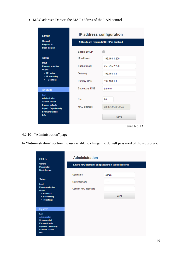MAC address: Depicts the MAC address of the LAN control

| <b>Status</b>                                                                           | <b>IP address configuration</b>              |                   |  |  |  |  |
|-----------------------------------------------------------------------------------------|----------------------------------------------|-------------------|--|--|--|--|
| <b>General</b><br><b>Program list</b>                                                   | All fields are required if DHCP is disabled. |                   |  |  |  |  |
| <b>Block diagram</b>                                                                    | <b>Fnable DHCP</b>                           |                   |  |  |  |  |
| <b>Setup</b>                                                                            | IP address                                   | 192.168.1.200     |  |  |  |  |
| <b>Input</b><br><b>Program selection</b><br>Output<br>> RF output<br>$>$ IP streaming   | Subnet mask                                  | 255 255 255 0     |  |  |  |  |
|                                                                                         | Gateway                                      | 192.168.1.1       |  |  |  |  |
| > TS settings                                                                           | <b>Primary DNS</b>                           | 192.168.1.1       |  |  |  |  |
| <b>System</b>                                                                           | Secondary DNS                                | 0.0.0.0           |  |  |  |  |
| <b>LAN</b><br><b>Administration</b><br><b>System restart</b><br><b>Factory defaults</b> | Port                                         | 80                |  |  |  |  |
| Import / Export config.<br>Firmware update                                              | <b>MAC</b> address                           | d8:80:39:30:6c:2a |  |  |  |  |
| <b>Info</b>                                                                             |                                              | Save              |  |  |  |  |

Figure No 13

# 4.2.10 - "Administration" page

In "Administration" section the user is able to change the default password of the webserver.

| <b>Status</b><br><b>General</b>                                                                                         | <b>Administration</b> |                                                        |  |  |  |  |  |
|-------------------------------------------------------------------------------------------------------------------------|-----------------------|--------------------------------------------------------|--|--|--|--|--|
| <b>Program list</b><br><b>Block diagram</b>                                                                             |                       | Enter a new username and password in the fields below: |  |  |  |  |  |
|                                                                                                                         | Username              | admin                                                  |  |  |  |  |  |
| Setup<br><b>Input</b>                                                                                                   | New password          |                                                        |  |  |  |  |  |
| <b>Program selection</b><br>Output                                                                                      | Confirm new password  |                                                        |  |  |  |  |  |
| > RF output<br>$>$ IP streaming                                                                                         |                       | Save                                                   |  |  |  |  |  |
| > TS settings                                                                                                           |                       |                                                        |  |  |  |  |  |
| <b>System</b>                                                                                                           |                       |                                                        |  |  |  |  |  |
| LAN<br>Administration<br><b>System restart</b><br><b>Factory defaults</b><br>Import / Export config.<br>Firmware update |                       |                                                        |  |  |  |  |  |
| Info                                                                                                                    |                       |                                                        |  |  |  |  |  |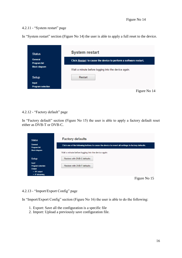## 4.2.11 - "System restart" page

In "System restart" section (Figure No 14) the user is able to apply a full reset to the device.

| <b>Status</b>                            | <b>System restart</b>                                            |
|------------------------------------------|------------------------------------------------------------------|
| <b>General</b><br><b>Program list</b>    | Click Restart to cause the device to perform a software restart. |
| <b>Block diagram</b>                     | Wait a minute before logging into the device again.              |
| Setup                                    | Restart                                                          |
| <b>Input</b><br><b>Program selection</b> |                                                                  |
|                                          | Figure No 14                                                     |

## 4.2.12 - "Factory default" page

In "Factory default" section (Figure No 15) the user is able to apply a factory default reset either as DVB-T or DVB-C.

| <b>Status</b>                                                                         | <b>Factory defaults</b>                                                                            |
|---------------------------------------------------------------------------------------|----------------------------------------------------------------------------------------------------|
| General<br><b>Program list</b>                                                        | Click one of the following buttons to cause the device to revert all settings to factory defaults. |
| <b>Block diagram</b>                                                                  | Wait a minute before logging into the device again.                                                |
| Setup                                                                                 | Restore with DVB-C defaults                                                                        |
| <b>Input</b><br><b>Program selection</b><br>Output<br>> RF output<br>$>$ IP streaming | Restore with DVB-T defaults                                                                        |
|                                                                                       | Figure No 15                                                                                       |

## 4.2.13 - "Import/Export Config" page

In "Import/Export Config" section (Figure No 16) the user is able to do the following:

- 1. Export: Save all the configuration is a specific file
- 2. Import: Upload a previously save configuration file.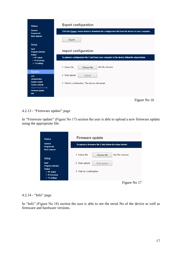| <b>Status</b>                                                                                                        | <b>Export configuration</b>                                                                        |
|----------------------------------------------------------------------------------------------------------------------|----------------------------------------------------------------------------------------------------|
| General<br><b>Program list</b><br><b>Block diagram</b>                                                               | Click the Export button below to download the configuration file from the device to your computer. |
|                                                                                                                      | Export                                                                                             |
| Setup                                                                                                                |                                                                                                    |
| <b>Input</b><br><b>Program selection</b><br>Output                                                                   | <b>Import configuration</b>                                                                        |
| > RF output<br>$>$ IP streaming<br>> TS settings                                                                     | To upload a configuration file (*.dat) from your computer to the device follow the steps below:    |
|                                                                                                                      | (No file chosen)<br>1. Select file<br>Choose file                                                  |
| <b>System</b>                                                                                                        |                                                                                                    |
| LAN<br><b>Administration</b>                                                                                         | 2. Start upload<br>Upload                                                                          |
| <b>System restart</b><br><b>Factory defaults</b><br>Import / Export config.<br><b>Firmware update</b><br><b>Info</b> | 3. Wait for confirmation. The device will restart.                                                 |
|                                                                                                                      | Figure No 16                                                                                       |

## 4.2.13 - "Firmware update" page

In "Firmware update" (Figure No 17) section the user is able to upload a new firmware update using the appropriate file.

| <b>Status</b>                         | <b>Firmware update</b>                                    |
|---------------------------------------|-----------------------------------------------------------|
| <b>General</b><br><b>Program list</b> | To upload a firmware file (*.bin) follow the steps below: |
| <b>Block diagram</b>                  |                                                           |
|                                       | 1. Select file<br>(No file chosen)<br>Choose file         |
| Setup                                 |                                                           |
| <b>Input</b>                          | 2. Start upload<br>Start upload                           |
| <b>Program selection</b>              |                                                           |
| Output                                | 3 Wait for confirmation                                   |
| $>$ RF output<br>$>$ IP streaming     |                                                           |
| $>$ TS settings                       |                                                           |
|                                       | Figure No 17                                              |

## 4.2.14 - "Info" page

In "Info" (Figure No 18) section the user is able to see the serial No of the device as well as firmware and hardware versions.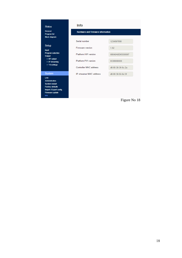## Status General Program list Block diagram Setup Input Program selection Output > RF output<br>> RF output<br>> IP streaming > TS settings System  $LAN$ ----<br>Administration<br>System restart Factory defaults<br>Import / Export config.

Firmware update

Ī

| Info                                     |                   |
|------------------------------------------|-------------------|
| <b>Hardware and Firmware information</b> |                   |
| Serial number                            | 1234567890        |
| <b>Firmware version</b>                  | 1.02              |
| Platform HW version                      | 08040A0D05550087  |
| <b>Platform FW version</b>               | 0C08000000        |
| <b>Controller MAC address</b>            | d8.80.39.30.6c.2a |
| IP streamer MAC address                  | d8:80:39:55:6d:3f |
|                                          |                   |
|                                          |                   |
|                                          |                   |

Figure No 18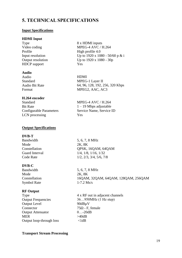# **5. TECHNICAL SPECIFICATIONS**

## **Input Specifications**

## **HDMI Input**

Type Video coding Profile Input resolution Output resolution HDCP support

#### **Audio**

Audio Standard Audio Bit Rate Format

## **H.264 encoder**

Standard Bit Rate Configurable Parameters LCN processing

#### **Output Specifications**

#### **DVB-T**

Bandwidth Mode **Constellation** Guard Interval Code Rate

#### **DVB-C**

Bandwidth Mode Constellation Symbol Rate

## **RF Output**

Type Output Frequencies Output Level Connector Output Attenuator MER Output loop-through loss

8 x HDMI inputs MPEG-4 AVC / H.264 High profile 4.0 Up to 1920 x 1080 - 50/60 p & i Up to 1920 x 1080 - 30p Yes

HDMI MPEG-1 Layer II 64, 96, 128, 192, 256, 320 Kbps MPEG2, AAC, AC3

MPEG-4 AVC / H.264  $1 - 19$  Mbps adjustable Service Name, Service ID Yes

5, 6, 7, 8 MHz 2K, 8K QPSK, 16QAM, 64QAM 1/4, 1/8, 1/16, 1/32 1/2, 2/3, 3/4, 5/6, 7/8

5, 6, 7, 8 MHz 2K, 8K 16QAM, 32QAM, 64QAM, 128QAM, 256QAM 1-7.2 Ms/s

4 x RF out in adjacent channels 36…950MHz (1 Hz step) 90dBµV 75Ω - F, female 0…-20dB >40dB  $<1dB$ 

#### **Transport Stream Processing**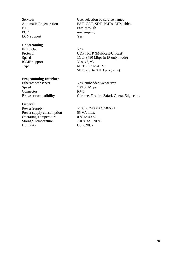Services Automatic Regeneration NIT **PCR** LCN support

## **IP Streaming**

IP TS Out Protocol Speed IGMP support Type

## **Programming Interface**

Ethernet webserver Speed Connector Browser compatibility

## **General**

Power Supply Power supply consumption Operating Temperature Storage Temperature Humidity

User selection by service names PAT, CAT, SDT, PMTs, EITs tables Pass-through re-stamping Yes

Yes UDP / RTP (Multicast/Unicast) 1Gbit (480 Mbps in IP only mode) Yes, *v*2, *v*3 MPTS (up to 4 TS) SPTS (up to 8 HD programs)

Yes, embedded webserver 10/100 Mbps RJ45 Chrome, Firefox, Safari, Opera, Edge et al.

~108 to 240 VAC 50/60Hz 55 VA max.  $0 °C$  to 40  $°C$  $-10$  °C to  $+70$  °C Up to 90%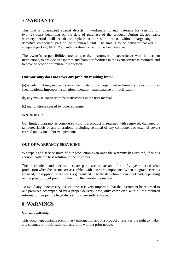# **7.WARRANTY**

This unit is guaranteed against defects in workmanship and materials for a period of two (2) years beginning on the date of purchase of the product. During the applicable warranty period, will repair or replace at our sole option, without charge, any defective component part of the purchased unit. The unit is to be delivered packed in adequate packing AFTER an authorization for return has been received.

The owner's responsibilities are to use the instrument in accordance with its written instructions, to provide transport to and from our facilities in the event service is required, and to provide proof of purchase if requested.

#### **Our warranty does not cover any problem resulting from:**

(a) accident; abuse; neglect; shock; electrostatic discharge; heat or humidity beyond product specifications; improper installation, operation, maintenance or modification

(b) any misuse contrary to the instructions in the user manual

(c) malfunctions caused by other equipment.

## **WARNING!!**

Our limited warranty is considered void if a product is returned with removed, damaged or tampered labels or any alterations (including removal of any component or external cover) carried out by unauthorized personnel.

## **OUT OF WARRANTY SERVICING**

We repair and service units of our production even once the warranty has expired, if this is economically the best solution to the customer.

The mechanical and electronic spare parts are replaceable for a five-year period after production when the circuits are assembled with discrete components. When integrated circuits are used, the supply of spare parts is guaranteed up to the depletion of our stock and, depending on the possibility of procuring them on the worldwide market.

To avoid any unnecessary loss of time, it is very important that the instrument be returned to our premises accompanied by a proper delivery note, duly completed with all the required information, as per the legal dispositions currently enforced.

# **8. WARNINGS**

## **Content warning**

This document contains preliminary information about a product . reserves the right to make any changes or modifications at any time without prior notice.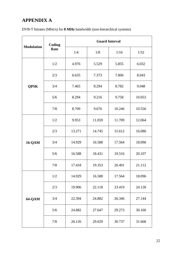# **APPENDIX A**

| DVB-T bitrates (Mbit/s) for <b>8 MHz</b> bandwidth (non-hierarchical systems) |  |
|-------------------------------------------------------------------------------|--|
|-------------------------------------------------------------------------------|--|

| <b>Modulation</b> | Coding | <b>Guard Interval</b> |        |        |        |  |
|-------------------|--------|-----------------------|--------|--------|--------|--|
|                   | Rate   | 1/4                   | 1/8    | 1/16   | 1/32   |  |
|                   | 1/2    | 4.976                 | 5.529  | 5.855  | 6.032  |  |
|                   | 2/3    | 6.635                 | 7.373  | 7.806  | 8.043  |  |
| <b>QPSK</b>       | 3/4    | 7.465                 | 8.294  | 8.782  | 9.048  |  |
|                   | 5/6    | 8.294                 | 9.216  | 9.758  | 10.053 |  |
|                   | 7/8    | 8.709                 | 9.676  | 10.246 | 10.556 |  |
|                   | 1/2    | 9.953                 | 11.059 | 11.709 | 12.064 |  |
|                   | 2/3    | 13.271                | 14.745 | 15.612 | 16.086 |  |
| <b>16-QAM</b>     | 3/4    | 14.929                | 16.588 | 17.564 | 18.096 |  |
|                   | 5/6    | 16.588                | 18.431 | 19.516 | 20.107 |  |
|                   | 7/8    | 17.418                | 19.353 | 20.491 | 21.112 |  |
| <b>64-QAM</b>     | 1/2    | 14.929                | 16.588 | 17.564 | 18.096 |  |
|                   | 2/3    | 19.906                | 22.118 | 23.419 | 24.128 |  |
|                   | 3/4    | 22.394                | 24.882 | 26.346 | 27.144 |  |
|                   | 5/6    | 24.882                | 27.647 | 29.273 | 30.160 |  |
|                   | 7/8    | 26.126                | 29.029 | 30.737 | 31.668 |  |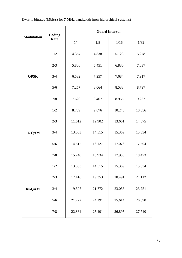| DVB-T bitrates (Mbit/s) for <b>7 MHz</b> bandwidth (non-hierarchical systems) |  |  |  |  |  |
|-------------------------------------------------------------------------------|--|--|--|--|--|
|-------------------------------------------------------------------------------|--|--|--|--|--|

| <b>Modulation</b> | Coding | <b>Guard Interval</b> |        |        |        |  |
|-------------------|--------|-----------------------|--------|--------|--------|--|
|                   | Rate   | 1/4                   | 1/8    | 1/16   | 1/32   |  |
|                   | 1/2    | 4.354                 | 4.838  | 5.123  | 5.278  |  |
|                   | 2/3    | 5.806                 | 6.451  | 6.830  | 7.037  |  |
| <b>QPSK</b>       | 3/4    | 6.532                 | 7.257  | 7.684  | 7.917  |  |
|                   | 5/6    | 7.257                 | 8.064  | 8.538  | 8.797  |  |
|                   | 7/8    | 7.620                 | 8.467  | 8.965  | 9.237  |  |
|                   | 1/2    | 8.709                 | 9.676  | 10.246 | 10.556 |  |
|                   | 2/3    | 11.612                | 12.902 | 13.661 | 14.075 |  |
| <b>16-QAM</b>     | 3/4    | 13.063                | 14.515 | 15.369 | 15.834 |  |
|                   | 5/6    | 14.515                | 16.127 | 17.076 | 17.594 |  |
|                   | 7/8    | 15.240                | 16.934 | 17.930 | 18.473 |  |
| <b>64-QAM</b>     | 1/2    | 13.063                | 14.515 | 15.369 | 15.834 |  |
|                   | 2/3    | 17.418                | 19.353 | 20.491 | 21.112 |  |
|                   | 3/4    | 19.595                | 21.772 | 23.053 | 23.751 |  |
|                   | 5/6    | 21.772                | 24.191 | 25.614 | 26.390 |  |
|                   | 7/8    | 22.861                | 25.401 | 26.895 | 27.710 |  |